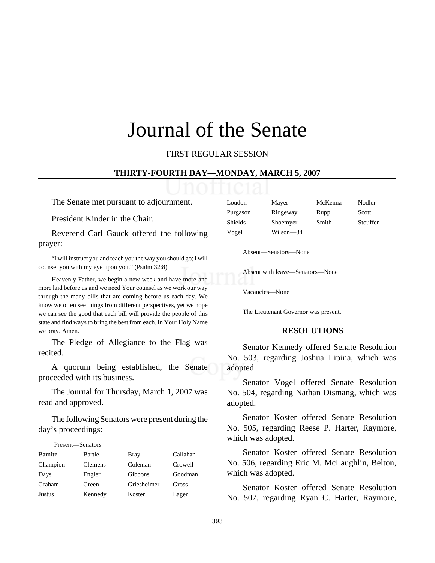# Journal of the Senate

FIRST REGULAR SESSION

#### **THIRTY-FOURTH DAY—MONDAY, MARCH 5, 2007**

The Senate met pursuant to adjournment.

President Kinder in the Chair.

Reverend Carl Gauck offered the following prayer:

"I will instruct you and teach you the way you should go; I will counsel you with my eye upon you." (Psalm 32:8)

Heavenly Father, we begin a new week and have more and more laid before us and we need Your counsel as we work our way through the many bills that are coming before us each day. We know we often see things from different perspectives, yet we hope we can see the good that each bill will provide the people of this state and find ways to bring the best from each. In Your Holy Name we pray. Amen.

The Pledge of Allegiance to the Flag was recited.

A quorum being established, the Senate proceeded with its business.

The Journal for Thursday, March 1, 2007 was read and approved.

The following Senators were present during the day's proceedings:

| Present—Senators |                |             |          |
|------------------|----------------|-------------|----------|
| <b>Barnitz</b>   | Bartle         | Bray        | Callahan |
| Champion         | <b>Clemens</b> | Coleman     | Crowell  |
| Days             | Engler         | Gibbons     | Goodman  |
| Graham           | Green          | Griesheimer | Gross    |
| <b>Justus</b>    | Kennedy        | Koster      | Lager    |

| Loudon   | Mayer     | McKenna | Nodler   |
|----------|-----------|---------|----------|
| Purgason | Ridgeway  | Rupp    | Scott    |
| Shields  | Shoemyer  | Smith   | Stouffer |
| Vogel    | Wilson-34 |         |          |

Absent—Senators—None

Absent with leave—Senators—None

Vacancies—None

The Lieutenant Governor was present.

#### **RESOLUTIONS**

Senator Kennedy offered Senate Resolution No. 503, regarding Joshua Lipina, which was adopted.

Senator Vogel offered Senate Resolution No. 504, regarding Nathan Dismang, which was adopted.

Senator Koster offered Senate Resolution No. 505, regarding Reese P. Harter, Raymore, which was adopted.

Senator Koster offered Senate Resolution No. 506, regarding Eric M. McLaughlin, Belton, which was adopted.

Senator Koster offered Senate Resolution No. 507, regarding Ryan C. Harter, Raymore,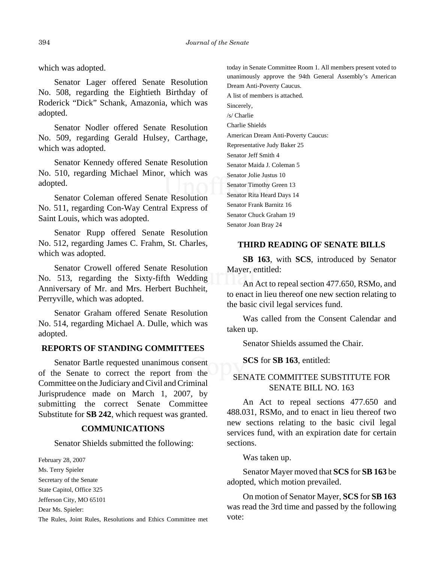which was adopted.

Senator Lager offered Senate Resolution No. 508, regarding the Eightieth Birthday of Roderick "Dick" Schank, Amazonia, which was adopted.

Senator Nodler offered Senate Resolution No. 509, regarding Gerald Hulsey, Carthage, which was adopted.

Senator Kennedy offered Senate Resolution No. 510, regarding Michael Minor, which was adopted.

Senator Coleman offered Senate Resolution No. 511, regarding Con-Way Central Express of Saint Louis, which was adopted.

Senator Rupp offered Senate Resolution No. 512, regarding James C. Frahm, St. Charles, which was adopted.

Senator Crowell offered Senate Resolution No. 513, regarding the Sixty-fifth Wedding Anniversary of Mr. and Mrs. Herbert Buchheit, Perryville, which was adopted.

Senator Graham offered Senate Resolution No. 514, regarding Michael A. Dulle, which was adopted.

# **REPORTS OF STANDING COMMITTEES**

Senator Bartle requested unanimous consent of the Senate to correct the report from the Committee on the Judiciary and Civil and Criminal Jurisprudence made on March 1, 2007, by submitting the correct Senate Committee Substitute for **SB 242**, which request was granted.

#### **COMMUNICATIONS**

Senator Shields submitted the following:

February 28, 2007 Ms. Terry Spieler Secretary of the Senate State Capitol, Office 325 Jefferson City, MO 65101 Dear Ms. Spieler:

The Rules, Joint Rules, Resolutions and Ethics Committee met

today in Senate Committee Room 1. All members present voted to unanimously approve the 94th General Assembly's American Dream Anti-Poverty Caucus. A list of members is attached. Sincerely, /s/ Charlie Charlie Shields American Dream Anti-Poverty Caucus: Representative Judy Baker 25 Senator Jeff Smith 4 Senator Maida J. Coleman 5 Senator Jolie Justus 10 Senator Timothy Green 13 Senator Rita Heard Days 14 Senator Frank Barnitz 16 Senator Chuck Graham 19 Senator Joan Bray 24

## **THIRD READING OF SENATE BILLS**

**SB 163**, with **SCS**, introduced by Senator Mayer, entitled:

An Act to repeal section 477.650, RSMo, and to enact in lieu thereof one new section relating to the basic civil legal services fund.

Was called from the Consent Calendar and taken up.

Senator Shields assumed the Chair.

**SCS** for **SB 163**, entitled:

# SENATE COMMITTEE SUBSTITUTE FOR SENATE BILL NO. 163

An Act to repeal sections 477.650 and 488.031, RSMo, and to enact in lieu thereof two new sections relating to the basic civil legal services fund, with an expiration date for certain sections.

Was taken up.

Senator Mayer moved that **SCS** for **SB 163** be adopted, which motion prevailed.

On motion of Senator Mayer, **SCS** for **SB 163** was read the 3rd time and passed by the following vote: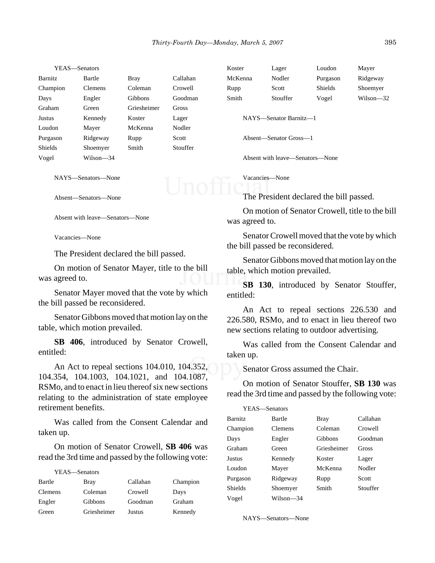|                | YEAS—Senators  |                |              | Koster  | Lager                           | Loudon   | Mayer     |
|----------------|----------------|----------------|--------------|---------|---------------------------------|----------|-----------|
| Barnitz        | Bartle         | <b>Bray</b>    | Callahan     | McKenna | Nodler                          | Purgason | Ridgeway  |
| Champion       | <b>Clemens</b> | Coleman        | Crowell      | Rupp    | Scott                           | Shields  | Shoemyer  |
| Days           | Engler         | <b>Gibbons</b> | Goodman      | Smith   | Stouffer                        | Vogel    | Wilson-32 |
| Graham         | Green          | Griesheimer    | <b>Gross</b> |         |                                 |          |           |
| Justus         | Kennedy        | Koster         | Lager        |         | NAYS—Senator Barnitz—1          |          |           |
| Loudon         | Mayer          | McKenna        | Nodler       |         |                                 |          |           |
| Purgason       | Ridgeway       | Rupp           | Scott        |         | Absent—Senator Gross—1          |          |           |
| <b>Shields</b> | Shoemyer       | Smith          | Stouffer     |         |                                 |          |           |
| Vogel          | Wilson—34      |                |              |         | Absent with leave—Senators—None |          |           |

NAYS—Senators—None

Absent—Senators—None

Absent with leave—Senators—None

Vacancies—None

The President declared the bill passed.

On motion of Senator Mayer, title to the bill was agreed to.

Senator Mayer moved that the vote by which the bill passed be reconsidered.

Senator Gibbons moved that motion lay on the table, which motion prevailed.

**SB 406**, introduced by Senator Crowell, entitled:

An Act to repeal sections 104.010, 104.352, 104.354, 104.1003, 104.1021, and 104.1087, RSMo, and to enact in lieu thereof six new sections relating to the administration of state employee retirement benefits.

Was called from the Consent Calendar and taken up.

On motion of Senator Crowell, **SB 406** was read the 3rd time and passed by the following vote:

YEAS—Senators

| Bartle         | Bray           | Callahan | Champion |
|----------------|----------------|----------|----------|
| <b>Clemens</b> | Coleman        | Crowell  | Days     |
| Engler         | <b>Gibbons</b> | Goodman  | Graham   |
| Green          | Griesheimer    | Justus   | Kennedy  |

Vacancies—None

The President declared the bill passed.

On motion of Senator Crowell, title to the bill was agreed to.

Senator Crowell moved that the vote by which the bill passed be reconsidered.

Senator Gibbons moved that motion lay on the table, which motion prevailed.

**SB 130**, introduced by Senator Stouffer, entitled:

An Act to repeal sections 226.530 and 226.580, RSMo, and to enact in lieu thereof two new sections relating to outdoor advertising.

Was called from the Consent Calendar and taken up.

Senator Gross assumed the Chair.

On motion of Senator Stouffer, **SB 130** was read the 3rd time and passed by the following vote:

| YEAS—Senators  |                |             |          |
|----------------|----------------|-------------|----------|
| <b>Barnitz</b> | Bartle         | Bray        | Callahan |
| Champion       | <b>Clemens</b> | Coleman     | Crowell  |
| Days           | Engler         | Gibbons     | Goodman  |
| Graham         | Green          | Griesheimer | Gross    |
| Justus         | Kennedy        | Koster      | Lager    |
| Loudon         | Mayer          | McKenna     | Nodler   |
| Purgason       | Ridgeway       | Rupp        | Scott    |
| <b>Shields</b> | Shoemyer       | Smith       | Stouffer |
| Vogel          | Wilson-34      |             |          |

NAYS—Senators—None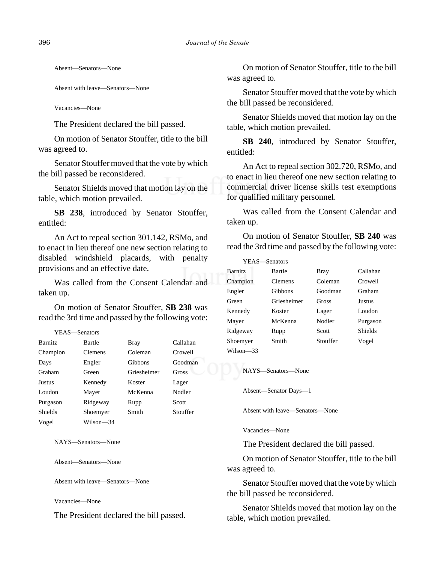Absent—Senators—None

Absent with leave—Senators—None

Vacancies—None

The President declared the bill passed.

On motion of Senator Stouffer, title to the bill was agreed to.

Senator Stouffer moved that the vote by which the bill passed be reconsidered.

Senator Shields moved that motion lay on the table, which motion prevailed.

**SB 238**, introduced by Senator Stouffer, entitled:

An Act to repeal section 301.142, RSMo, and to enact in lieu thereof one new section relating to disabled windshield placards, with penalty provisions and an effective date.

Was called from the Consent Calendar and taken up.

On motion of Senator Stouffer, **SB 238** was read the 3rd time and passed by the following vote:

| YEAS—Senators  |                |             |          |
|----------------|----------------|-------------|----------|
| <b>Barnitz</b> | Bartle         | <b>Bray</b> | Callahan |
| Champion       | <b>Clemens</b> | Coleman     | Crowell  |
| Days           | Engler         | Gibbons     | Goodman  |
| Graham         | Green          | Griesheimer | Gross    |
| Justus         | Kennedy        | Koster      | Lager    |
| Loudon         | Mayer          | McKenna     | Nodler   |
| Purgason       | Ridgeway       | Rupp        | Scott    |
| <b>Shields</b> | Shoemyer       | Smith       | Stouffer |
| Vogel          | Wilson—34      |             |          |

NAYS—Senators—None

Absent—Senators—None

Absent with leave—Senators—None

Vacancies—None

The President declared the bill passed.

On motion of Senator Stouffer, title to the bill was agreed to.

Senator Stouffer moved that the vote by which the bill passed be reconsidered.

Senator Shields moved that motion lay on the table, which motion prevailed.

**SB 240**, introduced by Senator Stouffer, entitled:

An Act to repeal section 302.720, RSMo, and to enact in lieu thereof one new section relating to commercial driver license skills test exemptions for qualified military personnel.

Was called from the Consent Calendar and taken up.

On motion of Senator Stouffer, **SB 240** was read the 3rd time and passed by the following vote:

| YEAS—Senators  |             |          |                |
|----------------|-------------|----------|----------------|
| <b>Barnitz</b> | Bartle      | Bray     | Callahan       |
| Champion       | Clemens     | Coleman  | Crowell        |
| Engler         | Gibbons     | Goodman  | Graham         |
| Green          | Griesheimer | Gross    | Justus         |
| Kennedy        | Koster      | Lager    | Loudon         |
| Mayer          | McKenna     | Nodler   | Purgason       |
| Ridgeway       | Rupp        | Scott    | <b>Shields</b> |
| Shoemver       | Smith       | Stouffer | Vogel          |
| Wilson—33      |             |          |                |

NAYS—Senators—None

Absent—Senator Days—1

Absent with leave—Senators—None

Vacancies—None

The President declared the bill passed.

On motion of Senator Stouffer, title to the bill was agreed to.

Senator Stouffer moved that the vote by which the bill passed be reconsidered.

Senator Shields moved that motion lay on the table, which motion prevailed.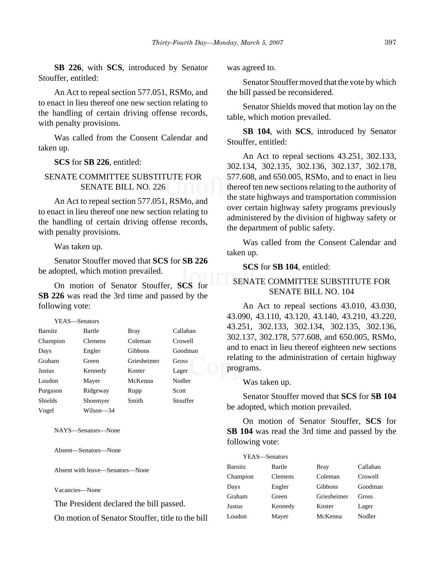**SB 226**, with **SCS**, introduced by Senator Stouffer, entitled:

An Act to repeal section 577.051, RSMo, and to enact in lieu thereof one new section relating to the handling of certain driving offense records, with penalty provisions.

Was called from the Consent Calendar and taken up.

**SCS** for **SB 226**, entitled:

## SENATE COMMITTEE SUBSTITUTE FOR SENATE BILL NO. 226

An Act to repeal section 577.051, RSMo, and to enact in lieu thereof one new section relating to the handling of certain driving offense records, with penalty provisions.

Was taken up.

Senator Stouffer moved that **SCS** for **SB 226** be adopted, which motion prevailed.

On motion of Senator Stouffer, **SCS** for **SB 226** was read the 3rd time and passed by the following vote:

YEAS—Senators Barnitz Bartle Bray Callahan Champion Clemens Coleman Crowell Days Engler Gibbons Goodman Graham Green Griesheimer Gross Justus Kennedy Koster Lager Loudon Mayer McKenna Nodler Purgason Ridgeway Rupp Scott Shields Shoemyer Smith Stouffer Vogel Wilson—34

NAYS—Senators—None

Absent—Senators—None

Absent with leave—Senators—None

Vacancies—None

The President declared the bill passed.

On motion of Senator Stouffer, title to the bill

was agreed to.

Senator Stouffer moved that the vote by which the bill passed be reconsidered.

Senator Shields moved that motion lay on the table, which motion prevailed.

**SB 104**, with **SCS**, introduced by Senator Stouffer, entitled:

An Act to repeal sections 43.251, 302.133, 302.134, 302.135, 302.136, 302.137, 302.178, 577.608, and 650.005, RSMo, and to enact in lieu thereof ten new sections relating to the authority of the state highways and transportation commission over certain highway safety programs previously administered by the division of highway safety or the department of public safety.

Was called from the Consent Calendar and taken up.

#### **SCS** for **SB 104**, entitled:

# SENATE COMMITTEE SUBSTITUTE FOR SENATE BILL NO. 104

An Act to repeal sections 43.010, 43.030, 43.090, 43.110, 43.120, 43.140, 43.210, 43.220, 43.251, 302.133, 302.134, 302.135, 302.136, 302.137, 302.178, 577.608, and 650.005, RSMo, and to enact in lieu thereof eighteen new sections relating to the administration of certain highway programs.

Was taken up.

Senator Stouffer moved that **SCS** for **SB 104** be adopted, which motion prevailed.

On motion of Senator Stouffer, **SCS** for **SB 104** was read the 3rd time and passed by the following vote:

| Bartle  | <b>Bray</b>   | Callahan |
|---------|---------------|----------|
| Clemens | Coleman       | Crowell  |
| Engler  | Gibbons       | Goodman  |
| Green   | Griesheimer   | Gross    |
| Kennedy | Koster        | Lager    |
| Mayer   | McKenna       | Nodler   |
|         | YEAS—Senators |          |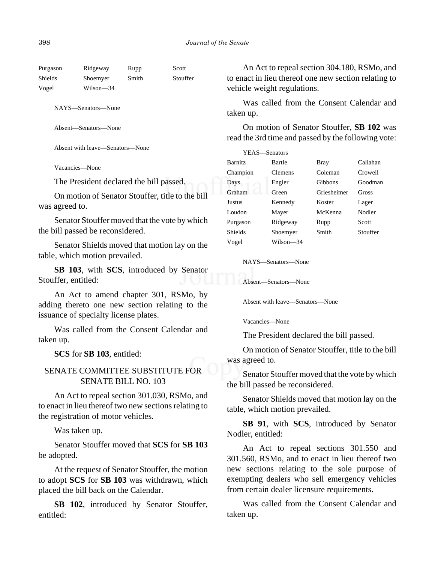| Purgason | Ridgeway  | Rupp  | Scott    |
|----------|-----------|-------|----------|
| Shields  | Shoemyer  | Smith | Stouffer |
| Vogel    | Wilson—34 |       |          |

NAYS—Senators—None

Absent—Senators—None

Absent with leave—Senators—None

Vacancies—None

The President declared the bill passed.

On motion of Senator Stouffer, title to the bill was agreed to.

Senator Stouffer moved that the vote by which the bill passed be reconsidered.

Senator Shields moved that motion lay on the table, which motion prevailed.

**SB 103**, with **SCS**, introduced by Senator Stouffer, entitled:

An Act to amend chapter 301, RSMo, by adding thereto one new section relating to the issuance of specialty license plates.

Was called from the Consent Calendar and taken up.

**SCS** for **SB 103**, entitled:

## SENATE COMMITTEE SUBSTITUTE FOR SENATE BILL NO. 103

An Act to repeal section 301.030, RSMo, and to enact in lieu thereof two new sections relating to the registration of motor vehicles.

Was taken up.

Senator Stouffer moved that **SCS** for **SB 103** be adopted.

At the request of Senator Stouffer, the motion to adopt **SCS** for **SB 103** was withdrawn, which placed the bill back on the Calendar.

**SB 102**, introduced by Senator Stouffer, entitled:

An Act to repeal section 304.180, RSMo, and to enact in lieu thereof one new section relating to vehicle weight regulations.

Was called from the Consent Calendar and taken up.

On motion of Senator Stouffer, **SB 102** was read the 3rd time and passed by the following vote:

| YEAS—Senators  |           |             |          |
|----------------|-----------|-------------|----------|
| <b>Barnitz</b> | Bartle    | Bray        | Callahan |
| Champion       | Clemens   | Coleman     | Crowell  |
| Days           | Engler    | Gibbons     | Goodman  |
| Graham         | Green     | Griesheimer | Gross    |
| <b>Justus</b>  | Kennedy   | Koster      | Lager    |
| Loudon         | Mayer     | McKenna     | Nodler   |
| Purgason       | Ridgeway  | Rupp        | Scott    |
| <b>Shields</b> | Shoemyer  | Smith       | Stouffer |
| Vogel          | Wilson—34 |             |          |

NAYS—Senators—None

Absent—Senators—None

Absent with leave—Senators—None

Vacancies—None

The President declared the bill passed.

On motion of Senator Stouffer, title to the bill was agreed to.

Senator Stouffer moved that the vote by which the bill passed be reconsidered.

Senator Shields moved that motion lay on the table, which motion prevailed.

**SB 91**, with **SCS**, introduced by Senator Nodler, entitled:

An Act to repeal sections 301.550 and 301.560, RSMo, and to enact in lieu thereof two new sections relating to the sole purpose of exempting dealers who sell emergency vehicles from certain dealer licensure requirements.

Was called from the Consent Calendar and taken up.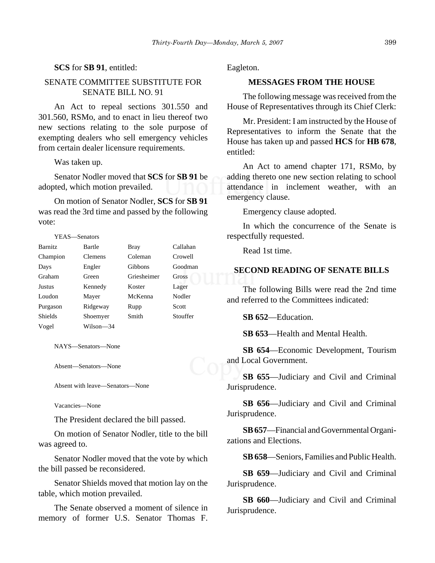## **SCS** for **SB 91**, entitled:

# SENATE COMMITTEE SUBSTITUTE FOR SENATE BILL NO. 91

An Act to repeal sections 301.550 and 301.560, RSMo, and to enact in lieu thereof two new sections relating to the sole purpose of exempting dealers who sell emergency vehicles from certain dealer licensure requirements.

Was taken up.

Senator Nodler moved that **SCS** for **SB 91** be adopted, which motion prevailed.

On motion of Senator Nodler, **SCS** for **SB 91** was read the 3rd time and passed by the following vote:

| YEAS—Senators  |                |                |          |
|----------------|----------------|----------------|----------|
| <b>Barnitz</b> | Bartle         | Bray           | Callahan |
| Champion       | <b>Clemens</b> | Coleman        | Crowell  |
| Days           | Engler         | <b>Gibbons</b> | Goodman  |
| Graham         | Green          | Griesheimer    | Gross    |
| Justus         | Kennedy        | Koster         | Lager    |
| Loudon         | Mayer          | McKenna        | Nodler   |
| Purgason       | Ridgeway       | Rupp           | Scott    |
| <b>Shields</b> | Shoemyer       | Smith          | Stouffer |
| Vogel          | Wilson—34      |                |          |

NAYS—Senators—None

Absent—Senators—None

Absent with leave—Senators—None

Vacancies—None

The President declared the bill passed.

On motion of Senator Nodler, title to the bill was agreed to.

Senator Nodler moved that the vote by which the bill passed be reconsidered.

Senator Shields moved that motion lay on the table, which motion prevailed.

The Senate observed a moment of silence in memory of former U.S. Senator Thomas F. Eagleton.

# **MESSAGES FROM THE HOUSE**

The following message was received from the House of Representatives through its Chief Clerk:

Mr. President: I am instructed by the House of Representatives to inform the Senate that the House has taken up and passed **HCS** for **HB 678**, entitled:

An Act to amend chapter 171, RSMo, by adding thereto one new section relating to school attendance in inclement weather, with an emergency clause.

Emergency clause adopted.

In which the concurrence of the Senate is respectfully requested.

Read 1st time.

## **SECOND READING OF SENATE BILLS**

The following Bills were read the 2nd time and referred to the Committees indicated:

**SB 652**—Education.

**SB 653**—Health and Mental Health.

**SB 654**—Economic Development, Tourism and Local Government.

**SB 655**—Judiciary and Civil and Criminal Jurisprudence.

**SB 656**—Judiciary and Civil and Criminal Jurisprudence.

**SB 657**—Financial and Governmental Organizations and Elections.

**SB 658**—Seniors, Families and Public Health.

**SB 659**—Judiciary and Civil and Criminal Jurisprudence.

**SB 660**—Judiciary and Civil and Criminal Jurisprudence.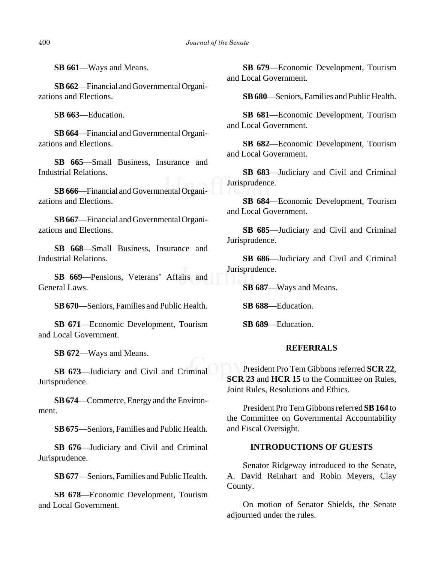**SB 661**—Ways and Means.

**SB 662**—Financial and Governmental Organizations and Elections.

**SB 663**—Education.

**SB 664**—Financial and Governmental Organizations and Elections.

**SB 665**—Small Business, Insurance and Industrial Relations.

**SB 666**—Financial and Governmental Organizations and Elections.

**SB 667**—Financial and Governmental Organizations and Elections.

**SB 668**—Small Business, Insurance and Industrial Relations.

**SB 669**—Pensions, Veterans' Affairs and General Laws.

**SB 670**—Seniors, Families and Public Health.

**SB 671**—Economic Development, Tourism and Local Government.

**SB 672**—Ways and Means.

**SB 673**—Judiciary and Civil and Criminal Jurisprudence.

**SB 674**—Commerce, Energy and the Environment.

**SB 675**—Seniors, Families and Public Health.

**SB 676**—Judiciary and Civil and Criminal Jurisprudence.

**SB 677**—Seniors, Families and Public Health.

**SB 678**—Economic Development, Tourism and Local Government.

**SB 679**—Economic Development, Tourism and Local Government.

**SB 680**—Seniors, Families and Public Health.

**SB 681**—Economic Development, Tourism and Local Government.

**SB 682**—Economic Development, Tourism and Local Government.

**SB 683**—Judiciary and Civil and Criminal Jurisprudence.

**SB 684**—Economic Development, Tourism and Local Government.

**SB 685**—Judiciary and Civil and Criminal Jurisprudence.

**SB 686**—Judiciary and Civil and Criminal Jurisprudence.

**SB 687**—Ways and Means.

**SB 688**—Education.

**SB 689**—Education.

# **REFERRALS**

President Pro Tem Gibbons referred **SCR 22**, **SCR 23** and **HCR 15** to the Committee on Rules, Joint Rules, Resolutions and Ethics.

President Pro Tem Gibbons referred **SB 164** to the Committee on Governmental Accountability and Fiscal Oversight.

# **INTRODUCTIONS OF GUESTS**

Senator Ridgeway introduced to the Senate, A. David Reinhart and Robin Meyers, Clay County.

On motion of Senator Shields, the Senate adjourned under the rules.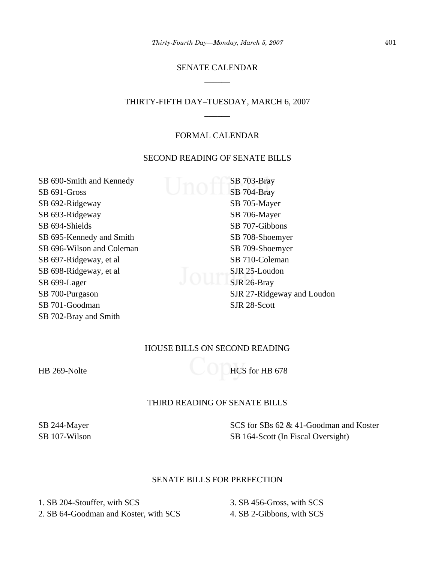# SENATE CALENDAR \_\_\_\_\_\_

# THIRTY-FIFTH DAY–TUESDAY, MARCH 6, 2007 \_\_\_\_\_\_

## FORMAL CALENDAR

## SECOND READING OF SENATE BILLS

SB 690-Smith and Kennedy SB 691-Gross SB 692-Ridgeway SB 693-Ridgeway SB 694-Shields SB 695-Kennedy and Smith SB 696-Wilson and Coleman SB 697-Ridgeway, et al SB 698-Ridgeway, et al SB 699-Lager SB 700-Purgason SB 701-Goodman SB 702-Bray and Smith

SB 703-Bray SB 704-Bray SB 705-Mayer SB 706-Mayer SB 707-Gibbons SB 708-Shoemyer SB 709-Shoemyer SB 710-Coleman SJR 25-Loudon SJR 26-Bray SJR 27-Ridgeway and Loudon SJR 28-Scott

# HOUSE BILLS ON SECOND READING

HB 269-Nolte HCS for HB 678

# THIRD READING OF SENATE BILLS

SB 244-Mayer SB 107-Wilson SCS for SBs 62 & 41-Goodman and Koster SB 164-Scott (In Fiscal Oversight)

## SENATE BILLS FOR PERFECTION

1. SB 204-Stouffer, with SCS 2. SB 64-Goodman and Koster, with SCS

3. SB 456-Gross, with SCS 4. SB 2-Gibbons, with SCS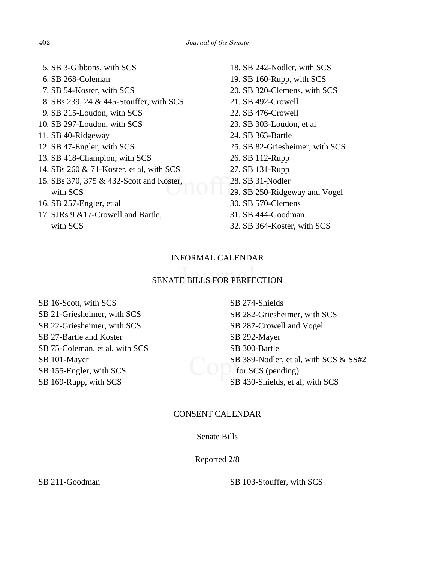- 5. SB 3-Gibbons, with SCS 6. SB 268-Coleman 7. SB 54-Koster, with SCS 8. SBs 239, 24 & 445-Stouffer, with SCS 9. SB 215-Loudon, with SCS 10. SB 297-Loudon, with SCS 11. SB 40-Ridgeway 12. SB 47-Engler, with SCS 13. SB 418-Champion, with SCS 14. SBs 260 & 71-Koster, et al, with SCS 15. SBs 370, 375 & 432-Scott and Koster, with SCS 16. SB 257-Engler, et al 17. SJRs 9 &17-Crowell and Bartle, with SCS
- 18. SB 242-Nodler, with SCS 19. SB 160-Rupp, with SCS 20. SB 320-Clemens, with SCS 21. SB 492-Crowell 22. SB 476-Crowell 23. SB 303-Loudon, et al 24. SB 363-Bartle 25. SB 82-Griesheimer, with SCS 26. SB 112-Rupp 27. SB 131-Rupp 28. SB 31-Nodler 29. SB 250-Ridgeway and Vogel 30. SB 570-Clemens 31. SB 444-Goodman
- 32. SB 364-Koster, with SCS

# INFORMAL CALENDAR

# SENATE BILLS FOR PERFECTION

SB 16-Scott, with SCS SB 21-Griesheimer, with SCS SB 22-Griesheimer, with SCS SB 27-Bartle and Koster SB 75-Coleman, et al, with SCS SB 101-Mayer SB 155-Engler, with SCS SB 169-Rupp, with SCS

SB 274-Shields SB 282-Griesheimer, with SCS SB 287-Crowell and Vogel SB 292-Mayer SB 300-Bartle SB 389-Nodler, et al, with SCS & SS#2 for SCS (pending) SB 430-Shields, et al, with SCS

# CONSENT CALENDAR

## Senate Bills

Reported 2/8

SB 211-Goodman SB 103-Stouffer, with SCS